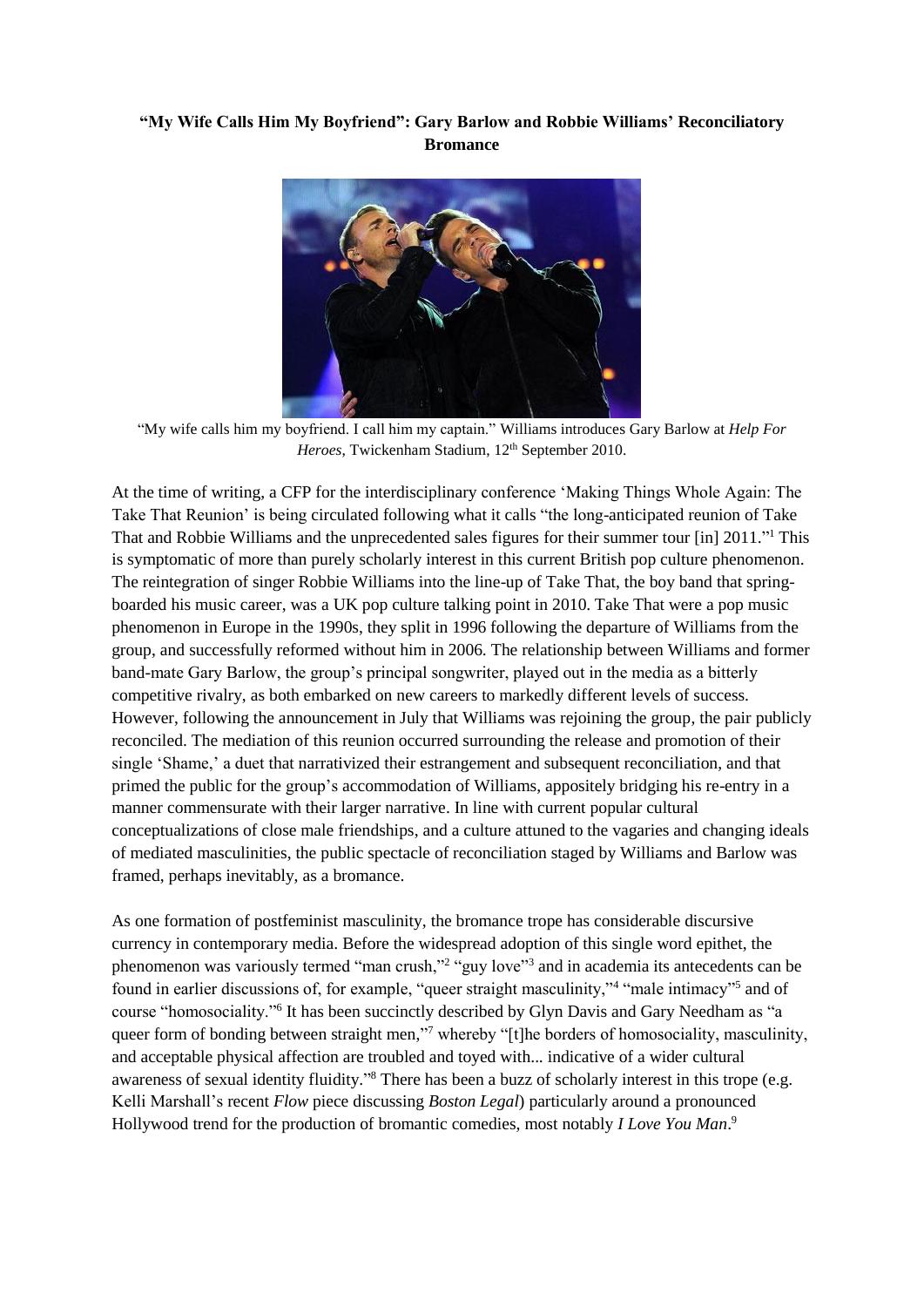## **"My Wife Calls Him My Boyfriend": Gary Barlow and Robbie Williams' Reconciliatory Bromance**



"My wife calls him my boyfriend. I call him my captain." Williams introduces Gary Barlow at *Help For Heroes*, Twickenham Stadium, 12<sup>th</sup> September 2010.

At the time of writing, a CFP for the interdisciplinary conference 'Making Things Whole Again: The Take That Reunion' is being circulated following what it calls "the long-anticipated reunion of Take That and Robbie Williams and the unprecedented sales figures for their summer tour [in] 2011."<sup>1</sup> This is symptomatic of more than purely scholarly interest in this current British pop culture phenomenon. The reintegration of singer Robbie Williams into the line-up of Take That, the boy band that springboarded his music career, was a UK pop culture talking point in 2010. Take That were a pop music phenomenon in Europe in the 1990s, they split in 1996 following the departure of Williams from the group, and successfully reformed without him in 2006. The relationship between Williams and former band-mate Gary Barlow, the group's principal songwriter, played out in the media as a bitterly competitive rivalry, as both embarked on new careers to markedly different levels of success. However, following the announcement in July that Williams was rejoining the group, the pair publicly reconciled. The mediation of this reunion occurred surrounding the release and promotion of their single 'Shame,' a duet that narrativized their estrangement and subsequent reconciliation, and that primed the public for the group's accommodation of Williams, appositely bridging his re-entry in a manner commensurate with their larger narrative. In line with current popular cultural conceptualizations of close male friendships, and a culture attuned to the vagaries and changing ideals of mediated masculinities, the public spectacle of reconciliation staged by Williams and Barlow was framed, perhaps inevitably, as a bromance.

As one formation of postfeminist masculinity, the bromance trope has considerable discursive currency in contemporary media. Before the widespread adoption of this single word epithet, the phenomenon was variously termed "man crush,"<sup>2</sup> "guy love"<sup>3</sup> and in academia its antecedents can be found in earlier discussions of, for example, "queer straight masculinity,"<sup>4</sup> "male intimacy"<sup>5</sup> and of course "homosociality."<sup>6</sup> It has been succinctly described by Glyn Davis and Gary Needham as "a queer form of bonding between straight men,"<sup>7</sup> whereby "[t]he borders of homosociality, masculinity, and acceptable physical affection are troubled and toyed with... indicative of a wider cultural awareness of sexual identity fluidity."<sup>8</sup> There has been a buzz of scholarly interest in this trope (e.g. Kelli Marshall's recent *Flow* piece discussing *Boston Legal*) particularly around a pronounced Hollywood trend for the production of bromantic comedies, most notably *I Love You Man*. 9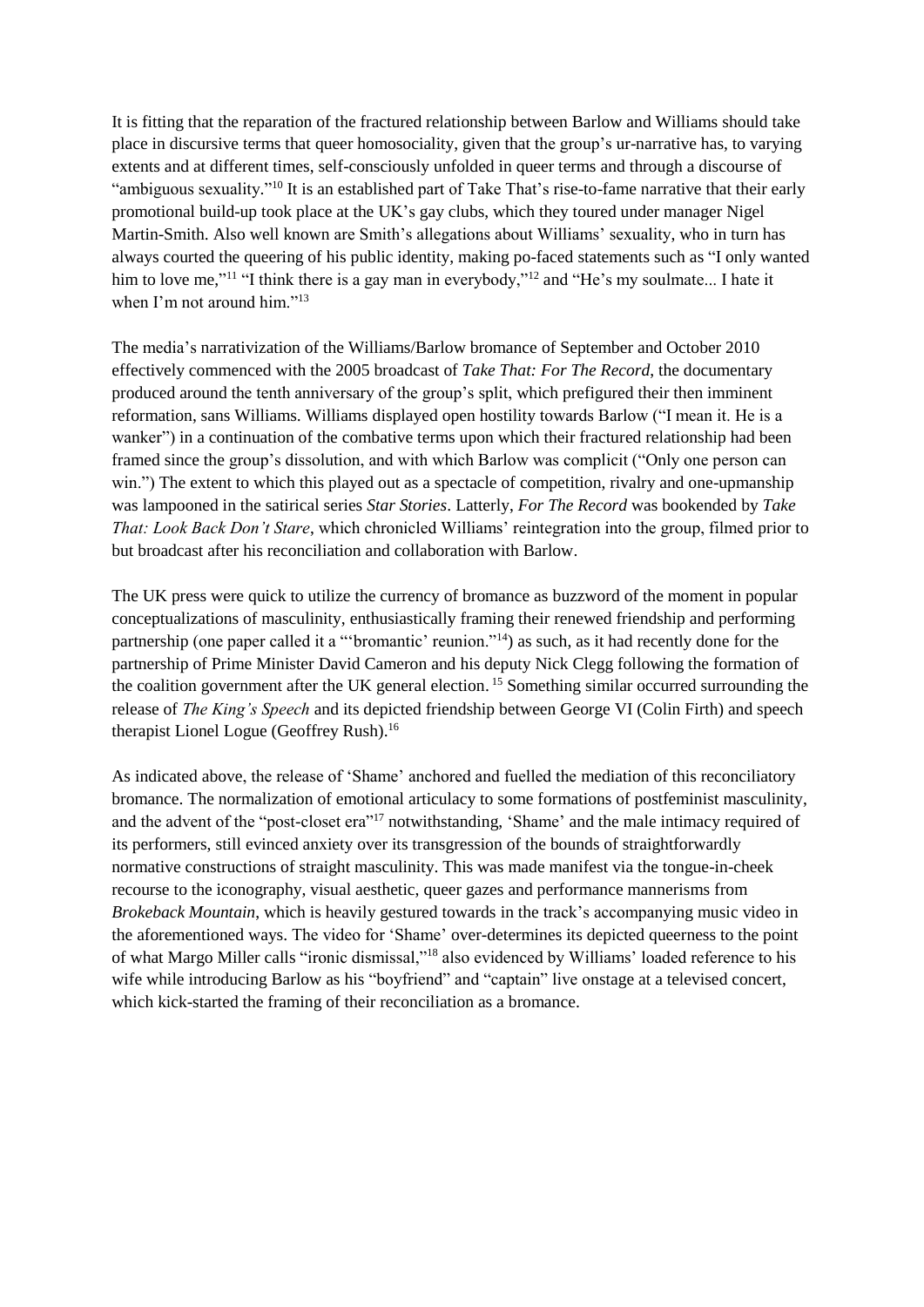It is fitting that the reparation of the fractured relationship between Barlow and Williams should take place in discursive terms that queer homosociality, given that the group's ur-narrative has, to varying extents and at different times, self-consciously unfolded in queer terms and through a discourse of "ambiguous sexuality."<sup>10</sup> It is an established part of Take That's rise-to-fame narrative that their early promotional build-up took place at the UK's gay clubs, which they toured under manager Nigel Martin-Smith. Also well known are Smith's allegations about Williams' sexuality, who in turn has always courted the queering of his public identity, making po-faced statements such as "I only wanted him to love me,"<sup>11</sup> "I think there is a gay man in everybody,"<sup>12</sup> and "He's my soulmate... I hate it when I'm not around him."<sup>13</sup>

The media's narrativization of the Williams/Barlow bromance of September and October 2010 effectively commenced with the 2005 broadcast of *Take That: For The Record*, the documentary produced around the tenth anniversary of the group's split, which prefigured their then imminent reformation, sans Williams. Williams displayed open hostility towards Barlow ("I mean it. He is a wanker") in a continuation of the combative terms upon which their fractured relationship had been framed since the group's dissolution, and with which Barlow was complicit ("Only one person can win.") The extent to which this played out as a spectacle of competition, rivalry and one-upmanship was lampooned in the satirical series *Star Stories*. Latterly, *For The Record* was bookended by *Take That: Look Back Don't Stare*, which chronicled Williams' reintegration into the group, filmed prior to but broadcast after his reconciliation and collaboration with Barlow.

The UK press were quick to utilize the currency of bromance as buzzword of the moment in popular conceptualizations of masculinity, enthusiastically framing their renewed friendship and performing partnership (one paper called it a "'bromantic' reunion."<sup>14</sup>) as such, as it had recently done for the partnership of Prime Minister David Cameron and his deputy Nick Clegg following the formation of the coalition government after the UK general election. <sup>15</sup> Something similar occurred surrounding the release of *The King's Speech* and its depicted friendship between George VI (Colin Firth) and speech therapist Lionel Logue (Geoffrey Rush).<sup>16</sup>

As indicated above, the release of 'Shame' anchored and fuelled the mediation of this reconciliatory bromance. The normalization of emotional articulacy to some formations of postfeminist masculinity, and the advent of the "post-closet era"<sup>17</sup> notwithstanding, 'Shame' and the male intimacy required of its performers, still evinced anxiety over its transgression of the bounds of straightforwardly normative constructions of straight masculinity. This was made manifest via the tongue-in-cheek recourse to the iconography, visual aesthetic, queer gazes and performance mannerisms from *Brokeback Mountain*, which is heavily gestured towards in the track's accompanying music video in the aforementioned ways. The video for 'Shame' over-determines its depicted queerness to the point of what Margo Miller calls "ironic dismissal,"<sup>18</sup> also evidenced by Williams' loaded reference to his wife while introducing Barlow as his "boyfriend" and "captain" live onstage at a televised concert, which kick-started the framing of their reconciliation as a bromance.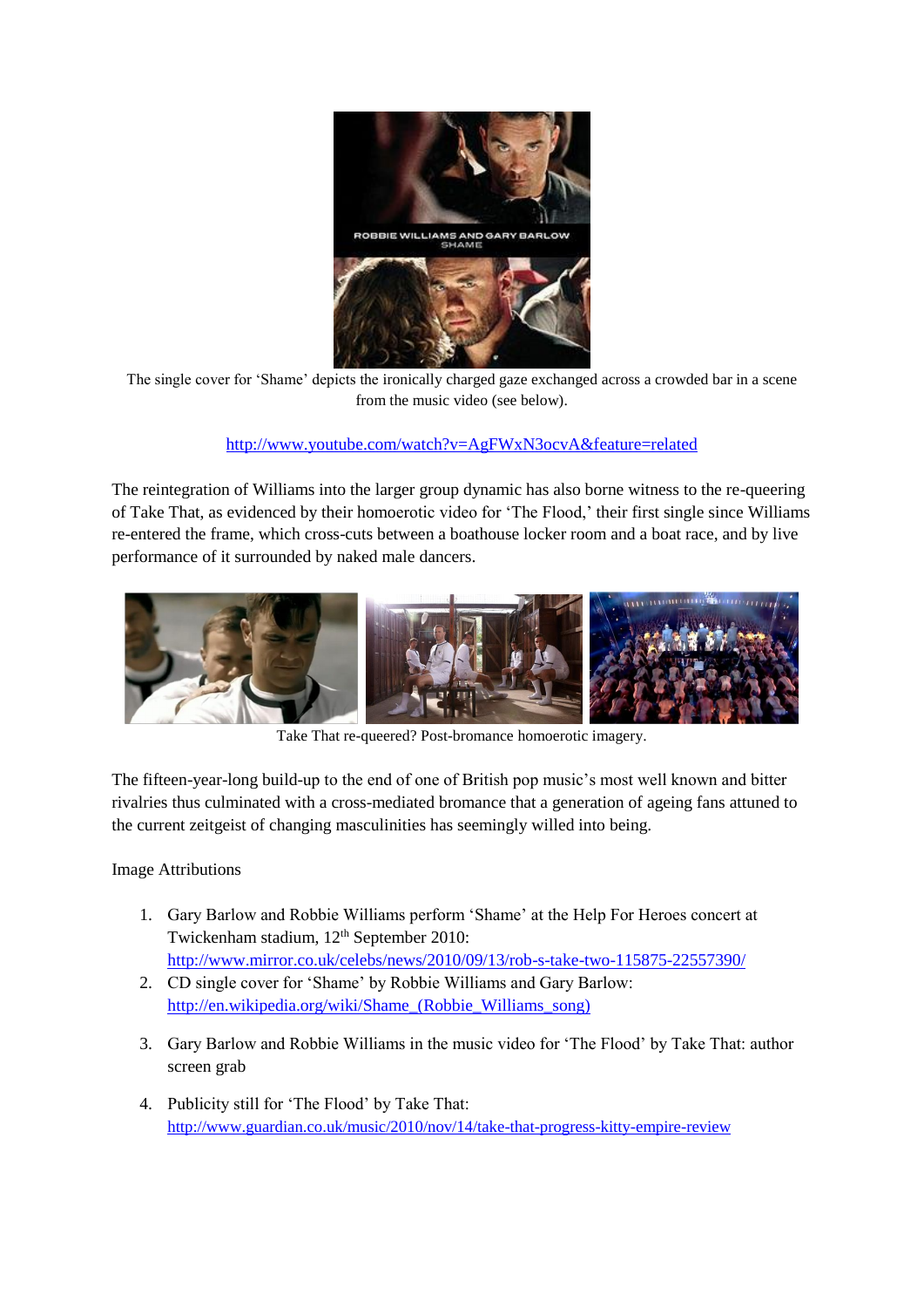

The single cover for 'Shame' depicts the ironically charged gaze exchanged across a crowded bar in a scene from the music video (see below).

<http://www.youtube.com/watch?v=AgFWxN3ocvA&feature=related>

The reintegration of Williams into the larger group dynamic has also borne witness to the re-queering of Take That, as evidenced by their homoerotic video for 'The Flood,' their first single since Williams re-entered the frame, which cross-cuts between a boathouse locker room and a boat race, and by live performance of it surrounded by naked male dancers.



Take That re-queered? Post-bromance homoerotic imagery.

The fifteen-year-long build-up to the end of one of British pop music's most well known and bitter rivalries thus culminated with a cross-mediated bromance that a generation of ageing fans attuned to the current zeitgeist of changing masculinities has seemingly willed into being.

Image Attributions

- 1. Gary Barlow and Robbie Williams perform 'Shame' at the Help For Heroes concert at Twickenham stadium, 12<sup>th</sup> September 2010: <http://www.mirror.co.uk/celebs/news/2010/09/13/rob-s-take-two-115875-22557390/>
- 2. CD single cover for 'Shame' by Robbie Williams and Gary Barlow: [http://en.wikipedia.org/wiki/Shame\\_\(Robbie\\_Williams\\_song\)](http://en.wikipedia.org/wiki/Shame_(Robbie_Williams_song))
- 3. Gary Barlow and Robbie Williams in the music video for 'The Flood' by Take That: author screen grab
- 4. Publicity still for 'The Flood' by Take That: <http://www.guardian.co.uk/music/2010/nov/14/take-that-progress-kitty-empire-review>